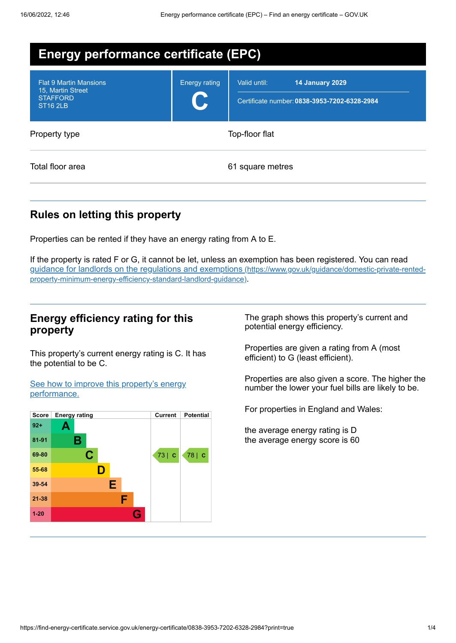| <b>Energy performance certificate (EPC)</b>                                              |                      |                                                                                        |  |
|------------------------------------------------------------------------------------------|----------------------|----------------------------------------------------------------------------------------|--|
| <b>Flat 9 Martin Mansions</b><br>15, Martin Street<br><b>STAFFORD</b><br><b>ST16 2LB</b> | <b>Energy rating</b> | Valid until:<br><b>14 January 2029</b><br>Certificate number: 0838-3953-7202-6328-2984 |  |
| Property type                                                                            |                      | Top-floor flat                                                                         |  |
| Total floor area                                                                         |                      | 61 square metres                                                                       |  |

## **Rules on letting this property**

Properties can be rented if they have an energy rating from A to E.

If the property is rated F or G, it cannot be let, unless an exemption has been registered. You can read guidance for landlords on the regulations and exemptions (https://www.gov.uk/guidance/domestic-private-rented[property-minimum-energy-efficiency-standard-landlord-guidance\)](https://www.gov.uk/guidance/domestic-private-rented-property-minimum-energy-efficiency-standard-landlord-guidance).

#### **Energy efficiency rating for this property**

This property's current energy rating is C. It has the potential to be C.

See how to improve this property's energy [performance.](#page-2-0)



The graph shows this property's current and potential energy efficiency.

Properties are given a rating from A (most efficient) to G (least efficient).

Properties are also given a score. The higher the number the lower your fuel bills are likely to be.

For properties in England and Wales:

the average energy rating is D the average energy score is 60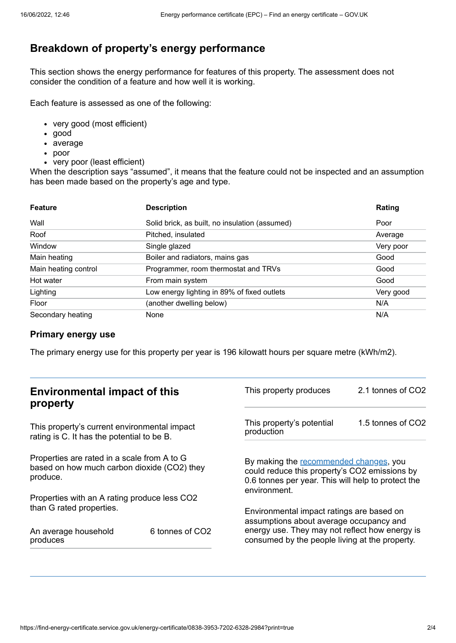# **Breakdown of property's energy performance**

This section shows the energy performance for features of this property. The assessment does not consider the condition of a feature and how well it is working.

Each feature is assessed as one of the following:

- very good (most efficient)
- good
- average
- poor
- very poor (least efficient)

When the description says "assumed", it means that the feature could not be inspected and an assumption has been made based on the property's age and type.

| <b>Feature</b>       | <b>Description</b>                             | Rating    |
|----------------------|------------------------------------------------|-----------|
| Wall                 | Solid brick, as built, no insulation (assumed) | Poor      |
| Roof                 | Pitched, insulated                             | Average   |
| Window               | Single glazed                                  | Very poor |
| Main heating         | Boiler and radiators, mains gas                | Good      |
| Main heating control | Programmer, room thermostat and TRVs           | Good      |
| Hot water            | From main system                               | Good      |
| Lighting             | Low energy lighting in 89% of fixed outlets    | Very good |
| Floor                | (another dwelling below)                       | N/A       |
| Secondary heating    | None                                           | N/A       |

#### **Primary energy use**

The primary energy use for this property per year is 196 kilowatt hours per square metre (kWh/m2).

| <b>Environmental impact of this</b><br>property                                                        |                 | This property produces                                                                                                                                        | 2.1 tonnes of CO2 |
|--------------------------------------------------------------------------------------------------------|-----------------|---------------------------------------------------------------------------------------------------------------------------------------------------------------|-------------------|
| This property's current environmental impact<br>rating is C. It has the potential to be B.             |                 | This property's potential<br>production                                                                                                                       | 1.5 tonnes of CO2 |
| Properties are rated in a scale from A to G<br>based on how much carbon dioxide (CO2) they<br>produce. |                 | By making the recommended changes, you<br>could reduce this property's CO2 emissions by<br>0.6 tonnes per year. This will help to protect the<br>environment. |                   |
| Properties with an A rating produce less CO2                                                           |                 |                                                                                                                                                               |                   |
| than G rated properties.                                                                               |                 | Environmental impact ratings are based on<br>assumptions about average occupancy and                                                                          |                   |
| An average household<br>produces                                                                       | 6 tonnes of CO2 | energy use. They may not reflect how energy is<br>consumed by the people living at the property.                                                              |                   |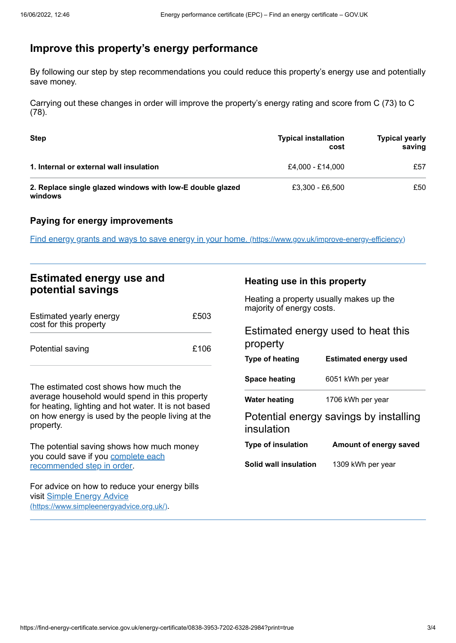## <span id="page-2-0"></span>**Improve this property's energy performance**

By following our step by step recommendations you could reduce this property's energy use and potentially save money.

Carrying out these changes in order will improve the property's energy rating and score from C (73) to C (78).

| <b>Step</b>                                                          | <b>Typical installation</b><br>cost | <b>Typical yearly</b><br>saving |
|----------------------------------------------------------------------|-------------------------------------|---------------------------------|
| 1. Internal or external wall insulation                              | £4.000 - £14.000                    | £57                             |
| 2. Replace single glazed windows with low-E double glazed<br>windows | £3,300 - £6,500                     | £50                             |

#### **Paying for energy improvements**

Find energy grants and ways to save energy in your home. [\(https://www.gov.uk/improve-energy-efficiency\)](https://www.gov.uk/improve-energy-efficiency)

### **Estimated energy use and potential savings**

| Estimated yearly energy<br>cost for this property | £503 |
|---------------------------------------------------|------|
| Potential saving                                  | £106 |

The estimated cost shows how much the average household would spend in this property for heating, lighting and hot water. It is not based on how energy is used by the people living at the property.

The potential saving shows how much money you could save if you complete each [recommended](#page-2-0) step in order.

For advice on how to reduce your energy bills visit Simple Energy Advice [\(https://www.simpleenergyadvice.org.uk/\)](https://www.simpleenergyadvice.org.uk/).

#### **Heating use in this property**

Heating a property usually makes up the majority of energy costs.

| Estimated energy used to heat this |  |
|------------------------------------|--|
| property                           |  |

| <b>Type of heating</b>    | <b>Estimated energy used</b>           |
|---------------------------|----------------------------------------|
| Space heating             | 6051 kWh per year                      |
| <b>Water heating</b>      | 1706 kWh per year                      |
| insulation                | Potential energy savings by installing |
| <b>Type of insulation</b> | Amount of energy saved                 |
| Solid wall insulation     | 1309 kWh per year                      |